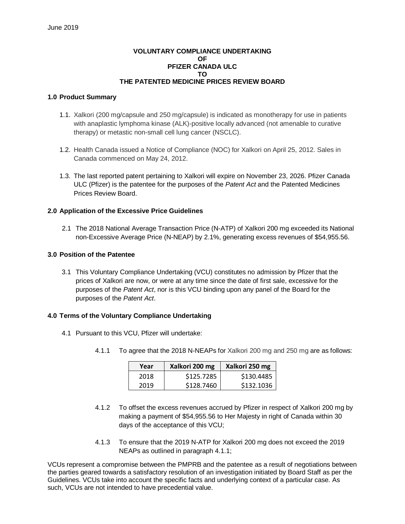## **VOLUNTARY COMPLIANCE UNDERTAKING OF PFIZER CANADA ULC TO THE PATENTED MEDICINE PRICES REVIEW BOARD**

#### **1.0 Product Summary**

- 1.1. Xalkori (200 mg/capsule and 250 mg/capsule) is indicated as monotherapy for use in patients with anaplastic lymphoma kinase (ALK)-positive locally advanced (not amenable to curative therapy) or metastic non-small cell lung cancer (NSCLC).
- 1.2. Health Canada issued a Notice of Compliance (NOC) for Xalkori on April 25, 2012. Sales in Canada commenced on May 24, 2012.
- 1.3. The last reported patent pertaining to Xalkori will expire on November 23, 2026. Pfizer Canada ULC (Pfizer) is the patentee for the purposes of the *Patent Act* and the Patented Medicines Prices Review Board.

## **2.0 Application of the Excessive Price Guidelines**

2.1 The 2018 National Average Transaction Price (N-ATP) of Xalkori 200 mg exceeded its National non-Excessive Average Price (N-NEAP) by 2.1%, generating excess revenues of \$54,955.56.

## **3.0 Position of the Patentee**

3.1 This Voluntary Compliance Undertaking (VCU) constitutes no admission by Pfizer that the prices of Xalkori are now, or were at any time since the date of first sale, excessive for the purposes of the *Patent Act*, nor is this VCU binding upon any panel of the Board for the purposes of the *Patent Act*.

# **4.0 Terms of the Voluntary Compliance Undertaking**

- 4.1 Pursuant to this VCU, Pfizer will undertake:
	- 4.1.1 To agree that the 2018 N-NEAPs for Xalkori 200 mg and 250 mg are as follows:

| Year | Xalkori 200 mg | Xalkori 250 mg |
|------|----------------|----------------|
| 2018 | \$125.7285     | \$130.4485     |
| 2019 | \$128.7460     | \$132.1036     |

- 4.1.2 To offset the excess revenues accrued by Pfizer in respect of Xalkori 200 mg by making a payment of \$54,955.56 to Her Majesty in right of Canada within 30 days of the acceptance of this VCU;
- 4.1.3 To ensure that the 2019 N-ATP for Xalkori 200 mg does not exceed the 2019 NEAPs as outlined in paragraph 4.1.1;

VCUs represent a compromise between the PMPRB and the patentee as a result of negotiations between the parties geared towards a satisfactory resolution of an investigation initiated by Board Staff as per the Guidelines. VCUs take into account the specific facts and underlying context of a particular case. As such, VCUs are not intended to have precedential value.